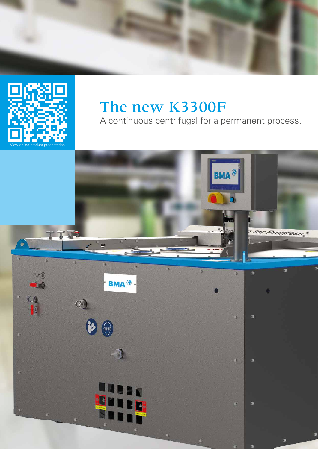

### The new K3300F

A continuous centrifugal for a permanent process.

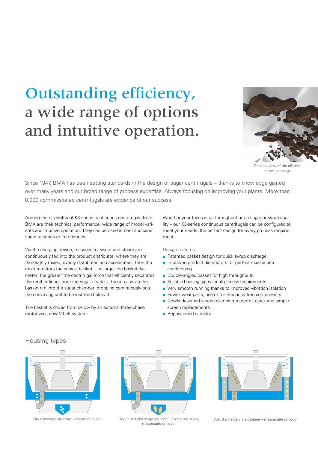# Outstanding efficiency, a wide range of options and intuitive operation.



Detailed view of the elliptical basket openings.

Since 1947, BMA has been setting standards in the design of sugar centrifugals – thanks to knowledge gained over many years and our broad range of process expertise. Always focusing on improving your plants. More than 8,000 commissioned centrifugals are evidence of our success.

Among the strengths of K3-series continuous centrifugals from BMA are their technical performance, wide range of model variants and intuitive operation. They can be used in beet and cane sugar factories or in refineries.

Via the charging device, massecuite, water and steam are continuously fed into the product distributor, where they are thoroughly mixed, evenly distributed and accelerated. Then the mixture enters the conical basket. The larger the basket diameter, the greater the centrifugal force that efficiently separates the mother liquor from the sugar crystals. These pass via the basket rim into the sugar chamber, dropping continuously onto the conveying unit to be installed below it.

The basket is driven from below by an external three-phase motor via a new V-belt system.

Whether your focus is on throughput or on sugar or syrup quality – our K3-series continuous centrifugals can be configured to meet your needs: the perfect design for every process requirement.

Design features

- Patented basket design for quick syrup discharge
- Improved product distributors for perfect massecuite conditioning
- Double-angled basket for high throughputs
- Suitable housing types for all process requirements
- Very smooth running thanks to improved vibration isolation
- Fewer wear parts, use of maintenance-free components
- Newly designed screen clamping to permit quick and simple screen replacements
- Repositioned sampler

#### Housing types





Dry discharge via cone – crystalline sugar Dry or wet discharge via cone – crystalline sugar, massecuite or liquor



Wet discharge via a pipeline – massecuite or liquor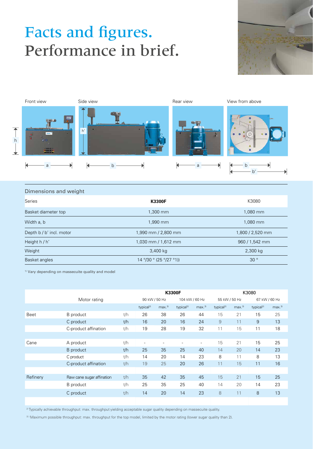### Facts and figures. Performance in brief.





#### Dimensions and weight

| <b>Series</b>            | <b>K3300F</b>                                              | K3080            |  |  |  |
|--------------------------|------------------------------------------------------------|------------------|--|--|--|
| Basket diameter top      | 1,300 mm                                                   | 1,080 mm         |  |  |  |
| Width a, b               | 1,990 mm                                                   | 1,080 mm         |  |  |  |
| Depth b / b' incl. motor | 1,990 mm / 2,800 mm                                        | 1,800 / 2,520 mm |  |  |  |
| Height h / h'            | 1,030 mm / 1,612 mm                                        | 960 / 1,542 mm   |  |  |  |
| Weight                   | 3,400 kg                                                   | 2,300 kg         |  |  |  |
| Basket angles            | $14^{\circ}/30^{\circ}$ (25 $\frac{\circ}{27}^{\circ}1)$ ) | 30°              |  |  |  |

<sup>1)</sup> Vary depending on massecuite quality and model

|             |                           |               | <b>K3300F</b>         |                          |                       |                          | K3080                 |                   |                       |       |
|-------------|---------------------------|---------------|-----------------------|--------------------------|-----------------------|--------------------------|-----------------------|-------------------|-----------------------|-------|
|             | Motor rating              | 90 kW / 50 Hz |                       | 104 kW / 60 Hz           |                       | 55 kW / 50 Hz            |                       | 67 kW / 60 Hz     |                       |       |
|             |                           |               | typical <sup>2)</sup> | max. <sup>3</sup>        | typical <sup>2)</sup> | max. <sup>3</sup>        | typical <sup>2)</sup> | max. <sup>3</sup> | typical <sup>2)</sup> | max.3 |
| <b>Beet</b> | <b>B</b> product          | t/h           | 26                    | 38                       | 26                    | 44                       | 15                    | 21                | 15                    | 25    |
|             | C product                 | t/h           | 16                    | 20                       | 16                    | 24                       | 9                     | 11                | 9                     | 13    |
|             | C-product affination      | t/h           | 19                    | 28                       | 19                    | 32                       | 11                    | 15                | 11                    | 18    |
|             |                           |               |                       |                          |                       |                          |                       |                   |                       |       |
| Cane        | A product                 | t/h           | ٠                     | $\overline{\phantom{a}}$ | ٠                     | $\overline{\phantom{a}}$ | 15                    | 21                | 15                    | 25    |
|             | B product                 | t/h           | 25                    | 35                       | 25                    | 40                       | 14                    | 20                | 14                    | 23    |
|             | C product                 | t/h           | 14                    | 20                       | 14                    | 23                       | 8                     | 11                | 8                     | 13    |
|             | C-product affination      | t/h           | 19                    | 25                       | 20                    | 26                       | 11                    | 15                | 11                    | 16    |
|             |                           |               |                       |                          |                       |                          |                       |                   |                       |       |
| Refinery    | Raw cane sugar affination | t/h           | 35                    | 42                       | 35                    | 45                       | 15                    | 21                | 15                    | 25    |
|             | B product                 | t/h           | 25                    | 35                       | 25                    | 40                       | 14                    | 20                | 14                    | 23    |
|             | C product                 | t/h           | 14                    | 20                       | 14                    | 23                       | 8                     | 11                | 8                     | 13    |
|             |                           |               |                       |                          |                       |                          |                       |                   |                       |       |

2) Typically achievable throughput: max. throughput yielding acceptable sugar quality depending on massecuite quality.

3) ) Maximum possible throughput: max. throughput for the top model, limited by the motor rating (lower sugar quality than 2).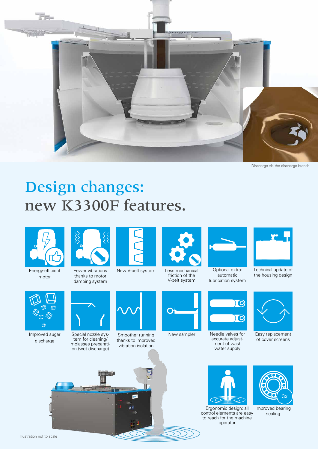

Discharge via the discharge branch

# Design changes: new K3300F features.



Energy-efficient motor



Fewer vibrations thanks to motor

Special nozzle system for cleaning/ molasses preparation (wet discharge)



Improved sugar discharge





New V-belt system

Smoother running thanks to improved vibration isolation



Less mechanical friction of the V-belt system

New sampler



Optional extra: automatic lubrication system



Needle valves for accurate adiustment of wash water supply



Technical update of the housing design

Easy replacement of cover screens



Ergonomic design: all control elements are easy to reach for the machine operator



Improved bearing sealing

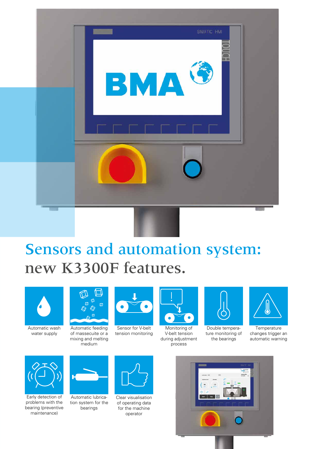

## Sensors and automation system: new K3300F features.



Automatic wash water supply



Automatic feeding of massecuite or a mixing and melting medium



Sensor for V-belt tension monitoring



Monitoring of V-belt tension during adjustment process



Double temperature monitoring of the bearings



**Temperature** changes trigger an automatic warning



Early detection of problems with the bearing (preventive maintenance)



Automatic lubrication system for the bearings



Clear visualisation of operating data for the machine operator